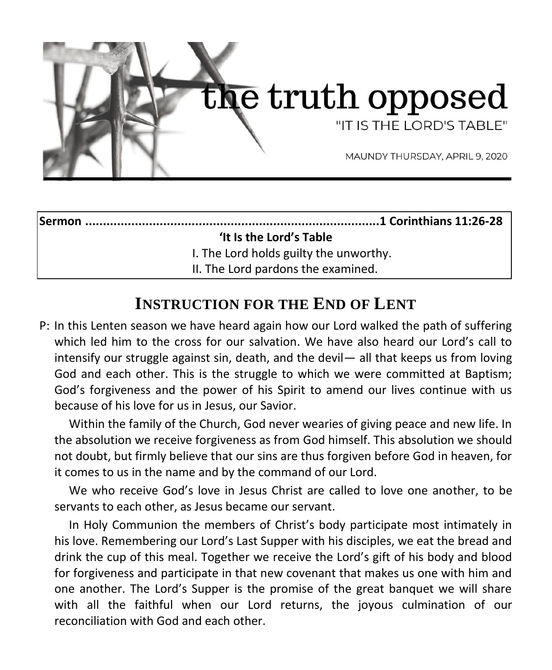

#### **Sermon ...................................................................................1 Corinthians 11:26-28**

#### **'It Is the Lord's Table**

I. The Lord holds guilty the unworthy.

II. The Lord pardons the examined.

## **INSTRUCTION FOR THE END OF LENT**

P: In this Lenten season we have heard again how our Lord walked the path of suffering which led him to the cross for our salvation. We have also heard our Lord's call to intensify our struggle against sin, death, and the devil— all that keeps us from loving God and each other. This is the struggle to which we were committed at Baptism; God's forgiveness and the power of his Spirit to amend our lives continue with us because of his love for us in Jesus, our Savior.

Within the family of the Church, God never wearies of giving peace and new life. In the absolution we receive forgiveness as from God himself. This absolution we should not doubt, but firmly believe that our sins are thus forgiven before God in heaven, for it comes to us in the name and by the command of our Lord.

We who receive God's love in Jesus Christ are called to love one another, to be servants to each other, as Jesus became our servant.

In Holy Communion the members of Christ's body participate most intimately in his love. Remembering our Lord's Last Supper with his disciples, we eat the bread and drink the cup of this meal. Together we receive the Lord's gift of his body and blood for forgiveness and participate in that new covenant that makes us one with him and one another. The Lord's Supper is the promise of the great banquet we will share with all the faithful when our Lord returns, the joyous culmination of our reconciliation with God and each other.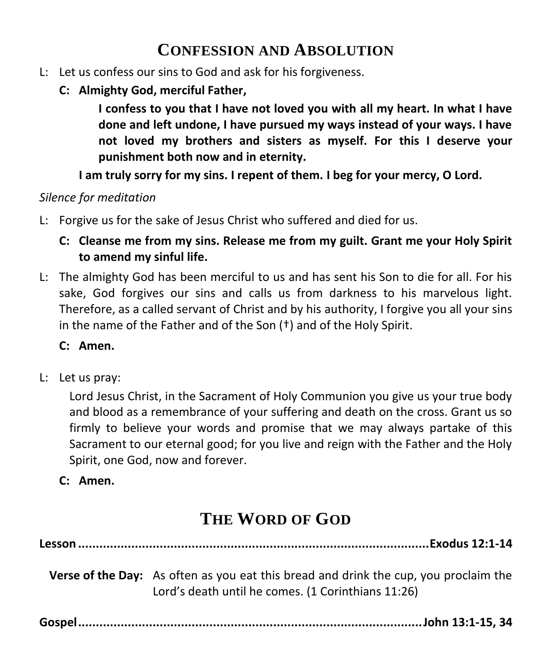## **CONFESSION AND ABSOLUTION**

- L: Let us confess our sins to God and ask for his forgiveness.
	- **C: Almighty God, merciful Father,**

**I confess to you that I have not loved you with all my heart. In what I have done and left undone, I have pursued my ways instead of your ways. I have not loved my brothers and sisters as myself. For this I deserve your punishment both now and in eternity.**

**I am truly sorry for my sins. I repent of them. I beg for your mercy, O Lord.**

#### *Silence for meditation*

- L: Forgive us for the sake of Jesus Christ who suffered and died for us.
	- **C: Cleanse me from my sins. Release me from my guilt. Grant me your Holy Spirit to amend my sinful life.**
- L: The almighty God has been merciful to us and has sent his Son to die for all. For his sake, God forgives our sins and calls us from darkness to his marvelous light. Therefore, as a called servant of Christ and by his authority, I forgive you all your sins in the name of the Father and of the Son (†) and of the Holy Spirit.

#### **C: Amen.**

L: Let us pray:

Lord Jesus Christ, in the Sacrament of Holy Communion you give us your true body and blood as a remembrance of your suffering and death on the cross. Grant us so firmly to believe your words and promise that we may always partake of this Sacrament to our eternal good; for you live and reign with the Father and the Holy Spirit, one God, now and forever.

**C: Amen.**

# **THE WORD OF GOD**

**Lesson ...................................................................................................Exodus 12:1-14**

**Verse of the Day:** As often as you eat this bread and drink the cup, you proclaim the Lord's death until he comes. (1 Corinthians 11:26)

**Gospel.................................................................................................John 13:1-15, 34**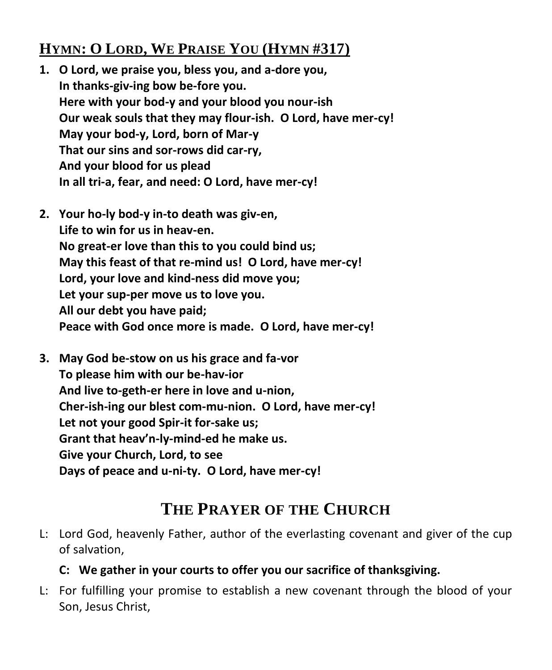## **HYMN: O LORD, WE PRAISE YOU (HYMN #317)**

- **1. O Lord, we praise you, bless you, and a-dore you, In thanks-giv-ing bow be-fore you. Here with your bod-y and your blood you nour-ish Our weak souls that they may flour-ish. O Lord, have mer-cy! May your bod-y, Lord, born of Mar-y That our sins and sor-rows did car-ry, And your blood for us plead In all tri-a, fear, and need: O Lord, have mer-cy!**
- **2. Your ho-ly bod-y in-to death was giv-en, Life to win for us in heav-en. No great-er love than this to you could bind us; May this feast of that re-mind us! O Lord, have mer-cy! Lord, your love and kind-ness did move you; Let your sup-per move us to love you. All our debt you have paid; Peace with God once more is made. O Lord, have mer-cy!**
- **3. May God be-stow on us his grace and fa-vor To please him with our be-hav-ior And live to-geth-er here in love and u-nion, Cher-ish-ing our blest com-mu-nion. O Lord, have mer-cy! Let not your good Spir-it for-sake us; Grant that heav'n-ly-mind-ed he make us. Give your Church, Lord, to see Days of peace and u-ni-ty. O Lord, have mer-cy!**

## **THE PRAYER OF THE CHURCH**

L: Lord God, heavenly Father, author of the everlasting covenant and giver of the cup of salvation,

### **C: We gather in your courts to offer you our sacrifice of thanksgiving.**

L: For fulfilling your promise to establish a new covenant through the blood of your Son, Jesus Christ,